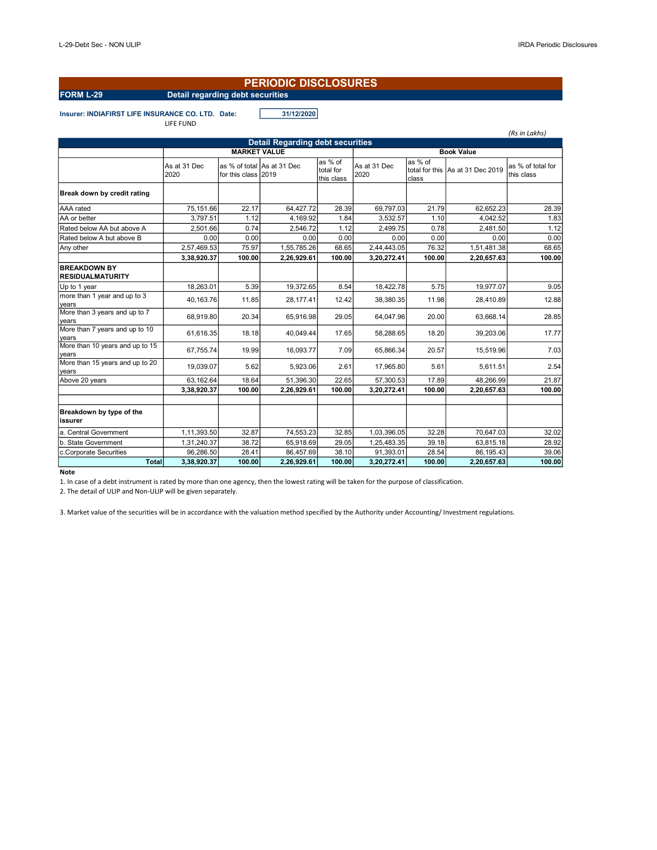#### PERIODIC DISCLOSURES

# FORM L-29 Detail regarding debt securities

Insurer: INDIAFIRST LIFE INSURANCE CO. LTD. Date: 31/12/2020 LIFE FUND

(Rs in Lakhs) As at 31 Dec 2020 as % of total As at 31 Dec for this class 2019 as % of total for this class As at 31 Dec 2020 as % of  $\frac{1}{2}$  as  $\frac{1}{2}$  of total for total for total for total for  $\frac{1}{2}$ class this class Break down by credit rating AAA rated 75,151.66 22.17 64,427.72 28.39 69,797.03 21.79 62,652.23 28.39 AA or better  $\begin{array}{|l|c|c|c|c|c|c|c|}\n\hline\n\end{array}$  3,797.51 1.12 4,169.92 1.84 3,532.57 1.10 4,042.52 1.83 Rated below AA but above A  $\begin{array}{|l} | \quad 2,501.66 & 0.74 \end{array}$  2,546.72 1.12 2,499.75 0.78 2,481.50 1.12 Rated below A but above B 0.00 0.00 0.00 0.00 0.00 0.00 0.00 0.00 Any other 2,57,469.53 75.97 1,55,785.26 68.65 2,44,443.05 76.32 1,51,481.38 68.65  $\left| \begin{array}{ccc} 3,38,920.37 \end{array} \right|$   $\left| \begin{array}{ccc} 100.00 \end{array} \right|$   $\left| \begin{array}{ccc} 2,26,929.61 \end{array} \right|$   $\left| \begin{array}{ccc} 100.00 \end{array} \right|$   $\left| \begin{array}{ccc} 3,20,272.41 \end{array} \right|$   $\left| \begin{array}{ccc} 100.00 \end{array} \right|$   $\left| \begin{array}{ccc} 2,20,657.63 \end{array} \right|$   $\left| \$ BREAKDOWN BY RESIDUALMATURITY Up to 1 year 18,263.01 5.39 19,372.65 8.54 18,422.78 5.75 19,977.07 9.05 more than 1 year and up to 3 years More than 3 years and up to 7 40,163.76 11.85 28,177.41 12.42 38,380.35 11.98 28,410.89 12.88 years 68,919.80 20.34 65,916.98 29.05 64,047.96 20.00 63,668.14 28.85 More than 7 years and up to 10 years 61,616.35 18.18 40,049.44 17.65 58,288.65 18.20 39,203.06 17.77 More than 10 years and up to 15 years 67,755.74 19.99 16,093.77 7.09 65,866.34 20.57 15,519.96 7.03 More than 15 years and up to 20 years<br>Above 20 years 19,039.07 5.62 5,923.06 2.61 17,965.80 5.61 5,611.51 2.54 Above 20 years 63,162.64 18.64 51,396.30 22.65 57,300.53 17.89 48,266.99 21.87  $3,38,920.37$  100.00  $2,26,929.61$  100.00  $3,20,272.41$  100.00  $2,20,657.63$  100.00 Breakdown by type of the issurer a. Central Government 1,11,393.50 32.87 74,553.23 32.85 1,03,396.05 32.28 70,647.03 32.02 b. State Government 1,31,240.37 38.72 65,918.69 29.05 1,25,483.35 39.18 63,815.18 28.92 c.Corporate Securities 96,286.50 28.41 86,457.69 38.10 91,393.01 28.54 86,195.43 39.06  $\textsf{Total} \big| \hspace{.25cm} 3,38,920.37 \big| \hspace{.25cm} 100.00 \big| \hspace{.25cm} 2,26,929.61 \big| \hspace{.25cm} 100.00 \big| \hspace{.25cm} 3,20,272.41 \big| \hspace{.25cm} 100.00 \big| \hspace{.25cm} 2,20,657.63 \big| \hspace{.25cm} 100.00 \big|$ Detail Regarding debt securities MARKET VALUE Book Value

Note

1. In case of a debt instrument is rated by more than one agency, then the lowest rating will be taken for the purpose of classification.

2. The detail of ULIP and Non-ULIP will be given separately.

3. Market value of the securities will be in accordance with the valuation method specified by the Authority under Accounting/ Investment regulations.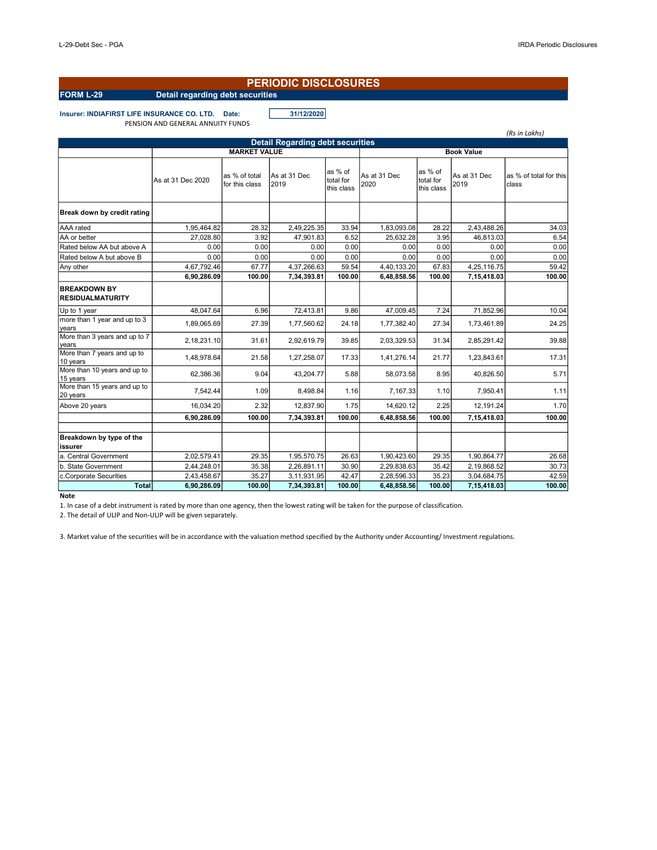### PERIODIC DISCLOSURES

# FORM L-29 Detail regarding debt securities

Insurer: INDIAFIRST LIFE INSURANCE CO. LTD. Date: 31/12/2020 PENSION AND GENERAL ANNUITY FUNDS

|                                                |                                          |                                 |                      |                                    |                      |                                    |                      | (Rs in Lakhs)                   |  |  |  |  |
|------------------------------------------------|------------------------------------------|---------------------------------|----------------------|------------------------------------|----------------------|------------------------------------|----------------------|---------------------------------|--|--|--|--|
| <b>Detail Regarding debt securities</b>        |                                          |                                 |                      |                                    |                      |                                    |                      |                                 |  |  |  |  |
|                                                | <b>MARKET VALUE</b><br><b>Book Value</b> |                                 |                      |                                    |                      |                                    |                      |                                 |  |  |  |  |
|                                                | As at 31 Dec 2020                        | as % of total<br>for this class | As at 31 Dec<br>2019 | as % of<br>total for<br>this class | As at 31 Dec<br>2020 | as % of<br>total for<br>this class | As at 31 Dec<br>2019 | as % of total for this<br>class |  |  |  |  |
| Break down by credit rating                    |                                          |                                 |                      |                                    |                      |                                    |                      |                                 |  |  |  |  |
| AAA rated                                      | 1,95,464.82                              | 28.32                           | 2,49,225.35          | 33.94                              | 1,83,093.08          | 28.22                              | 2,43,488.26          | 34.03                           |  |  |  |  |
| AA or better                                   | 27,028.80                                | 3.92                            | 47,901.83            | 6.52                               | 25,632.28            | 3.95                               | 46,813.03            | 6.54                            |  |  |  |  |
| Rated below AA but above A                     | 0.00                                     | 0.00                            | 0.00                 | 0.00                               | 0.00                 | 0.00                               | 0.00                 | 0.00                            |  |  |  |  |
| Rated below A but above B                      | 0.00                                     | 0.00                            | 0.00                 | 0.00                               | 0.00                 | 0.00                               | 0.00                 | 0.00                            |  |  |  |  |
| Any other                                      | 4,67,792.46                              | 67.77                           | 4,37,266.63          | 59.54                              | 4,40,133.20          | 67.83                              | 4,25,116.75          | 59.42                           |  |  |  |  |
|                                                | 6,90,286.09                              | 100.00                          | 7,34,393.81          | 100.00                             | 6,48,858.56          | 100.00                             | 7,15,418.03          | 100.00                          |  |  |  |  |
| <b>BREAKDOWN BY</b><br><b>RESIDUALMATURITY</b> |                                          |                                 |                      |                                    |                      |                                    |                      |                                 |  |  |  |  |
| Up to 1 year                                   | 48.047.64                                | 6.96                            | 72,413.81            | 9.86                               | 47,009.45            | 7.24                               | 71,852.96            | 10.04                           |  |  |  |  |
| more than 1 year and up to 3<br>years          | 1,89,065.69                              | 27.39                           | 1,77,560.62          | 24.18                              | 1,77,382.40          | 27.34                              | 1,73,461.89          | 24.25                           |  |  |  |  |
| More than 3 years and up to 7<br>years         | 2,18,231.10                              | 31.61                           | 2,92,619.79          | 39.85                              | 2,03,329.53          | 31.34                              | 2,85,291.42          | 39.88                           |  |  |  |  |
| More than 7 years and up to<br>10 years        | 1,48,978.64                              | 21.58                           | 1,27,258.07          | 17.33                              | 1,41,276.14          | 21.77                              | 1,23,843.61          | 17.31                           |  |  |  |  |
| More than 10 years and up to<br>15 years       | 62,386.36                                | 9.04                            | 43,204.77            | 5.88                               | 58,073.58            | 8.95                               | 40,826.50            | 5.71                            |  |  |  |  |
| More than 15 years and up to<br>20 years       | 7,542.44                                 | 1.09                            | 8,498.84             | 1.16                               | 7,167.33             | 1.10                               | 7,950.41             | 1.11                            |  |  |  |  |
| Above 20 years                                 | 16.034.20                                | 2.32                            | 12.837.90            | 1.75                               | 14,620.12            | 2.25                               | 12.191.24            | 1.70                            |  |  |  |  |
|                                                | 6,90,286.09                              | 100.00                          | 7,34,393.81          | 100.00                             | 6,48,858.56          | 100.00                             | 7,15,418.03          | 100.00                          |  |  |  |  |
| Breakdown by type of the<br>issurer            |                                          |                                 |                      |                                    |                      |                                    |                      |                                 |  |  |  |  |
| a. Central Government                          | 2,02,579.41                              | 29.35                           | 1,95,570.75          | 26.63                              | 1,90,423.60          | 29.35                              | 1.90.864.77          | 26.68                           |  |  |  |  |
| b. State Government                            | 2,44,248.01                              | 35.38                           | 2,26,891.11          | 30.90                              | 2,29,838.63          | 35.42                              | 2,19,868.52          | 30.73                           |  |  |  |  |
| c.Corporate Securities                         | 2,43,458.67                              | 35.27                           | 3,11,931.95          | 42.47                              | 2,28,596.33          | 35.23                              | 3,04,684.75          | 42.59                           |  |  |  |  |
| <b>Total</b>                                   | 6,90,286.09                              | 100.00                          | 7,34,393.81          | 100.00                             | 6,48,858.56          | 100.00                             | 7,15,418.03          | 100.00                          |  |  |  |  |

#### **Note**

1. In case of a debt instrument is rated by more than one agency, then the lowest rating will be taken for the purpose of classification.

2. The detail of ULIP and Non-ULIP will be given separately.

3. Market value of the securities will be in accordance with the valuation method specified by the Authority under Accounting/ Investment regulations.